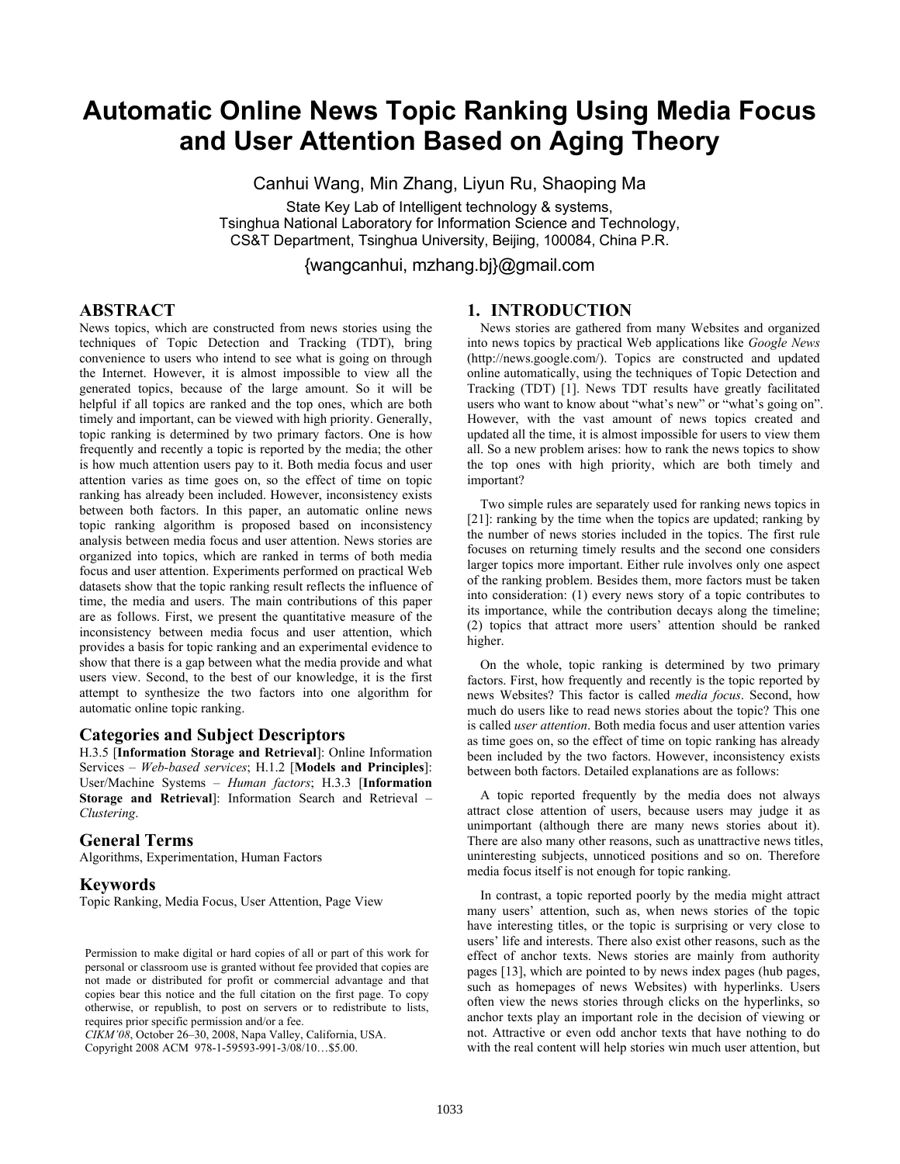# **Automatic Online News Topic Ranking Using Media Focus and User Attention Based on Aging Theory**

Canhui Wang, Min Zhang, Liyun Ru, Shaoping Ma

State Key Lab of Intelligent technology & systems, Tsinghua National Laboratory for Information Science and Technology, CS&T Department, Tsinghua University, Beijing, 100084, China P.R.

{wangcanhui, mzhang.bj}@gmail.com

# **ABSTRACT**

News topics, which are constructed from news stories using the techniques of Topic Detection and Tracking (TDT), bring convenience to users who intend to see what is going on through the Internet. However, it is almost impossible to view all the generated topics, because of the large amount. So it will be helpful if all topics are ranked and the top ones, which are both timely and important, can be viewed with high priority. Generally, topic ranking is determined by two primary factors. One is how frequently and recently a topic is reported by the media; the other is how much attention users pay to it. Both media focus and user attention varies as time goes on, so the effect of time on topic ranking has already been included. However, inconsistency exists between both factors. In this paper, an automatic online news topic ranking algorithm is proposed based on inconsistency analysis between media focus and user attention. News stories are organized into topics, which are ranked in terms of both media focus and user attention. Experiments performed on practical Web datasets show that the topic ranking result reflects the influence of time, the media and users. The main contributions of this paper are as follows. First, we present the quantitative measure of the inconsistency between media focus and user attention, which provides a basis for topic ranking and an experimental evidence to show that there is a gap between what the media provide and what users view. Second, to the best of our knowledge, it is the first attempt to synthesize the two factors into one algorithm for automatic online topic ranking.

# **Categories and Subject Descriptors**

H.3.5 [**Information Storage and Retrieval**]: Online Information Services – *Web-based services*; H.1.2 [**Models and Principles**]: User/Machine Systems – *Human factors*; H.3.3 [**Information Storage and Retrieval**]: Information Search and Retrieval – *Clustering*.

# **General Terms**

Algorithms, Experimentation, Human Factors

# **Keywords**

Topic Ranking, Media Focus, User Attention, Page View

*CIKM'08*, October 26–30, 2008, Napa Valley, California, USA.

Copyright 2008 ACM 978-1-59593-991-3/08/10…\$5.00.

# **1. INTRODUCTION**

News stories are gathered from many Websites and organized into news topics by practical Web applications like *Google News* (http://news.google.com/). Topics are constructed and updated online automatically, using the techniques of Topic Detection and Tracking (TDT) [1]. News TDT results have greatly facilitated users who want to know about "what's new" or "what's going on". However, with the vast amount of news topics created and updated all the time, it is almost impossible for users to view them all. So a new problem arises: how to rank the news topics to show the top ones with high priority, which are both timely and important?

Two simple rules are separately used for ranking news topics in [21]: ranking by the time when the topics are updated; ranking by the number of news stories included in the topics. The first rule focuses on returning timely results and the second one considers larger topics more important. Either rule involves only one aspect of the ranking problem. Besides them, more factors must be taken into consideration: (1) every news story of a topic contributes to its importance, while the contribution decays along the timeline; (2) topics that attract more users' attention should be ranked higher.

On the whole, topic ranking is determined by two primary factors. First, how frequently and recently is the topic reported by news Websites? This factor is called *media focus*. Second, how much do users like to read news stories about the topic? This one is called *user attention*. Both media focus and user attention varies as time goes on, so the effect of time on topic ranking has already been included by the two factors. However, inconsistency exists between both factors. Detailed explanations are as follows:

A topic reported frequently by the media does not always attract close attention of users, because users may judge it as unimportant (although there are many news stories about it). There are also many other reasons, such as unattractive news titles, uninteresting subjects, unnoticed positions and so on. Therefore media focus itself is not enough for topic ranking.

In contrast, a topic reported poorly by the media might attract many users' attention, such as, when news stories of the topic have interesting titles, or the topic is surprising or very close to users' life and interests. There also exist other reasons, such as the effect of anchor texts. News stories are mainly from authority pages [13], which are pointed to by news index pages (hub pages, such as homepages of news Websites) with hyperlinks. Users often view the news stories through clicks on the hyperlinks, so anchor texts play an important role in the decision of viewing or not. Attractive or even odd anchor texts that have nothing to do with the real content will help stories win much user attention, but

Permission to make digital or hard copies of all or part of this work for personal or classroom use is granted without fee provided that copies are not made or distributed for profit or commercial advantage and that copies bear this notice and the full citation on the first page. To copy otherwise, or republish, to post on servers or to redistribute to lists, requires prior specific permission and/or a fee.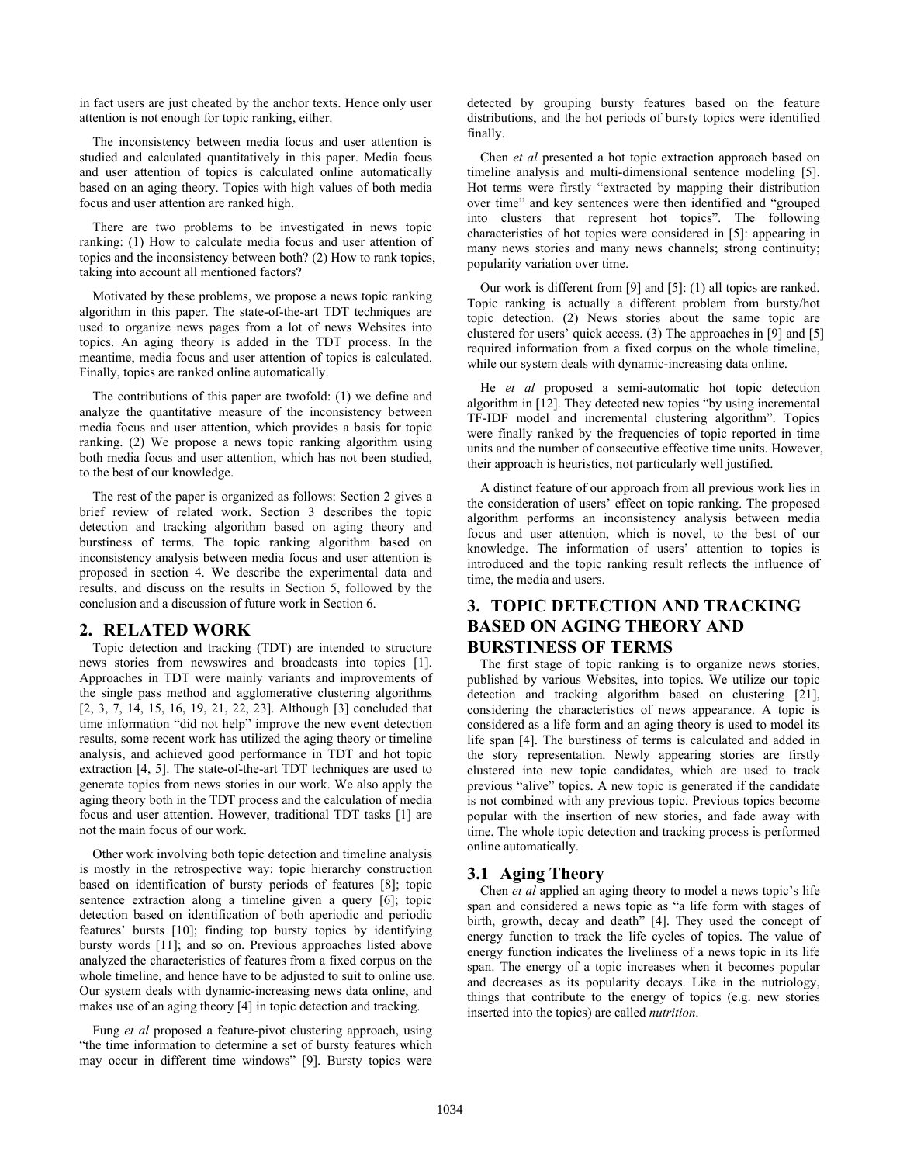in fact users are just cheated by the anchor texts. Hence only user attention is not enough for topic ranking, either.

The inconsistency between media focus and user attention is studied and calculated quantitatively in this paper. Media focus and user attention of topics is calculated online automatically based on an aging theory. Topics with high values of both media focus and user attention are ranked high.

There are two problems to be investigated in news topic ranking: (1) How to calculate media focus and user attention of topics and the inconsistency between both? (2) How to rank topics, taking into account all mentioned factors?

Motivated by these problems, we propose a news topic ranking algorithm in this paper. The state-of-the-art TDT techniques are used to organize news pages from a lot of news Websites into topics. An aging theory is added in the TDT process. In the meantime, media focus and user attention of topics is calculated. Finally, topics are ranked online automatically.

The contributions of this paper are twofold: (1) we define and analyze the quantitative measure of the inconsistency between media focus and user attention, which provides a basis for topic ranking. (2) We propose a news topic ranking algorithm using both media focus and user attention, which has not been studied, to the best of our knowledge.

The rest of the paper is organized as follows: Section 2 gives a brief review of related work. Section 3 describes the topic detection and tracking algorithm based on aging theory and burstiness of terms. The topic ranking algorithm based on inconsistency analysis between media focus and user attention is proposed in section 4. We describe the experimental data and results, and discuss on the results in Section 5, followed by the conclusion and a discussion of future work in Section 6.

#### **2. RELATED WORK**

Topic detection and tracking (TDT) are intended to structure news stories from newswires and broadcasts into topics [1]. Approaches in TDT were mainly variants and improvements of the single pass method and agglomerative clustering algorithms [2, 3, 7, 14, 15, 16, 19, 21, 22, 23]. Although [3] concluded that time information "did not help" improve the new event detection results, some recent work has utilized the aging theory or timeline analysis, and achieved good performance in TDT and hot topic extraction [4, 5]. The state-of-the-art TDT techniques are used to generate topics from news stories in our work. We also apply the aging theory both in the TDT process and the calculation of media focus and user attention. However, traditional TDT tasks [1] are not the main focus of our work.

Other work involving both topic detection and timeline analysis is mostly in the retrospective way: topic hierarchy construction based on identification of bursty periods of features [8]; topic sentence extraction along a timeline given a query [6]; topic detection based on identification of both aperiodic and periodic features' bursts [10]; finding top bursty topics by identifying bursty words [11]; and so on. Previous approaches listed above analyzed the characteristics of features from a fixed corpus on the whole timeline, and hence have to be adjusted to suit to online use. Our system deals with dynamic-increasing news data online, and makes use of an aging theory [4] in topic detection and tracking.

Fung *et al* proposed a feature-pivot clustering approach, using "the time information to determine a set of bursty features which may occur in different time windows" [9]. Bursty topics were

detected by grouping bursty features based on the feature distributions, and the hot periods of bursty topics were identified finally.

Chen *et al* presented a hot topic extraction approach based on timeline analysis and multi-dimensional sentence modeling [5]. Hot terms were firstly "extracted by mapping their distribution over time" and key sentences were then identified and "grouped into clusters that represent hot topics". The following characteristics of hot topics were considered in [5]: appearing in many news stories and many news channels; strong continuity; popularity variation over time.

Our work is different from [9] and [5]: (1) all topics are ranked. Topic ranking is actually a different problem from bursty/hot topic detection. (2) News stories about the same topic are clustered for users' quick access. (3) The approaches in [9] and [5] required information from a fixed corpus on the whole timeline, while our system deals with dynamic-increasing data online.

He *et al* proposed a semi-automatic hot topic detection algorithm in [12]. They detected new topics "by using incremental TF-IDF model and incremental clustering algorithm". Topics were finally ranked by the frequencies of topic reported in time units and the number of consecutive effective time units. However, their approach is heuristics, not particularly well justified.

A distinct feature of our approach from all previous work lies in the consideration of users' effect on topic ranking. The proposed algorithm performs an inconsistency analysis between media focus and user attention, which is novel, to the best of our knowledge. The information of users' attention to topics is introduced and the topic ranking result reflects the influence of time, the media and users.

# **3. TOPIC DETECTION AND TRACKING BASED ON AGING THEORY AND BURSTINESS OF TERMS**

The first stage of topic ranking is to organize news stories, published by various Websites, into topics. We utilize our topic detection and tracking algorithm based on clustering [21], considering the characteristics of news appearance. A topic is considered as a life form and an aging theory is used to model its life span [4]. The burstiness of terms is calculated and added in the story representation. Newly appearing stories are firstly clustered into new topic candidates, which are used to track previous "alive" topics. A new topic is generated if the candidate is not combined with any previous topic. Previous topics become popular with the insertion of new stories, and fade away with time. The whole topic detection and tracking process is performed online automatically.

#### **3.1 Aging Theory**

Chen *et al* applied an aging theory to model a news topic's life span and considered a news topic as "a life form with stages of birth, growth, decay and death" [4]. They used the concept of energy function to track the life cycles of topics. The value of energy function indicates the liveliness of a news topic in its life span. The energy of a topic increases when it becomes popular and decreases as its popularity decays. Like in the nutriology, things that contribute to the energy of topics (e.g. new stories inserted into the topics) are called *nutrition*.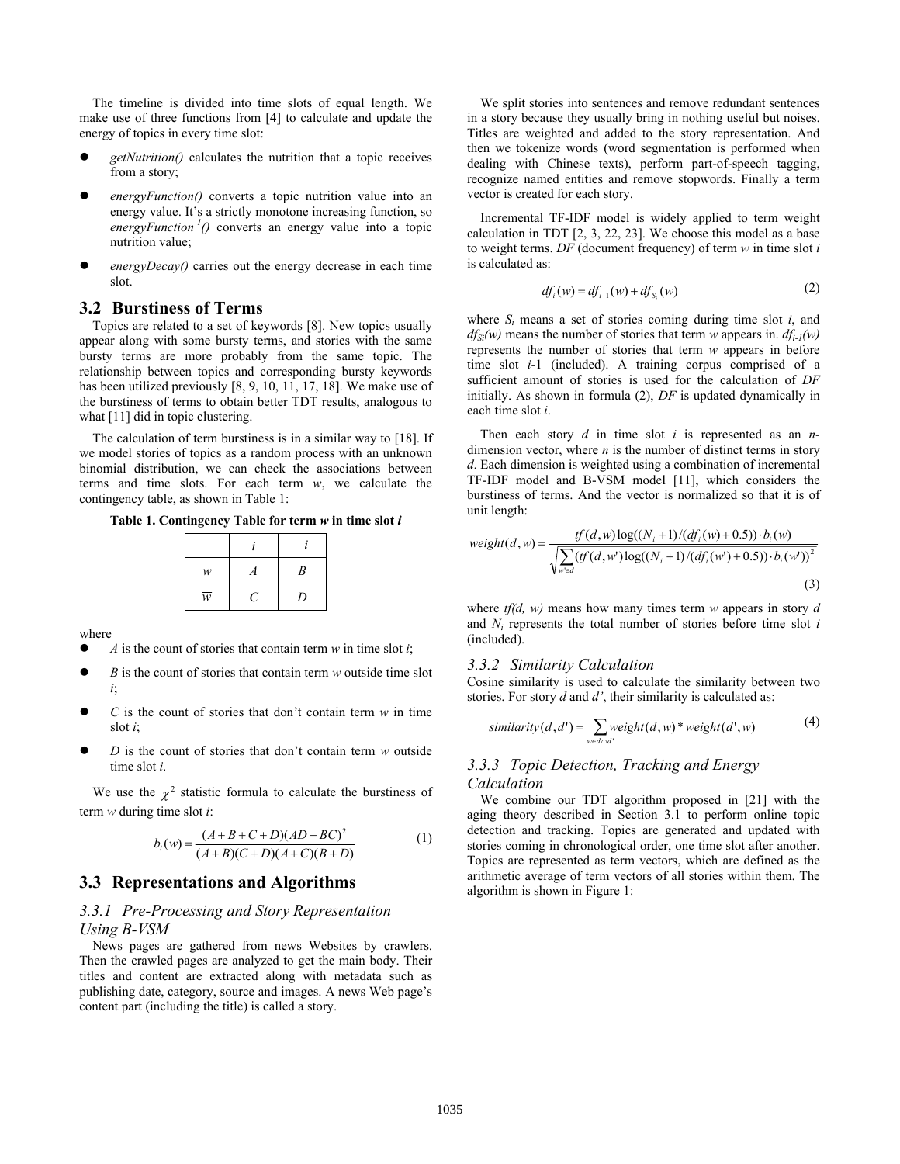The timeline is divided into time slots of equal length. We make use of three functions from [4] to calculate and update the energy of topics in every time slot:

- z *getNutrition()* calculates the nutrition that a topic receives from a story;
- *energyFunction()* converts a topic nutrition value into an energy value. It's a strictly monotone increasing function, so *energyFunction<sup>-1</sup>()* converts an energy value into a topic nutrition value;
- *energyDecay()* carries out the energy decrease in each time slot.

#### **3.2 Burstiness of Terms**

Topics are related to a set of keywords [8]. New topics usually appear along with some bursty terms, and stories with the same bursty terms are more probably from the same topic. The relationship between topics and corresponding bursty keywords has been utilized previously [8, 9, 10, 11, 17, 18]. We make use of the burstiness of terms to obtain better TDT results, analogous to what [11] did in topic clustering.

The calculation of term burstiness is in a similar way to [18]. If we model stories of topics as a random process with an unknown binomial distribution, we can check the associations between terms and time slots. For each term *w*, we calculate the contingency table, as shown in Table 1:

**Table 1. Contingency Table for term** *w* **in time slot** *i*

| w              | А  | B |
|----------------|----|---|
| $\overline{w}$ | ſ. | D |

where

- z *A* is the count of stories that contain term *w* in time slot *i*;
- *B* is the count of stories that contain term *w* outside time slot *i*;
- $C$  is the count of stories that don't contain term  $w$  in time slot *i*;
- *D* is the count of stories that don't contain term *w* outside time slot *i*.

We use the  $\chi^2$  statistic formula to calculate the burstiness of term *w* during time slot *i*:

$$
b_i(w) = \frac{(A+B+C+D)(AD-BC)^2}{(A+B)(C+D)(A+C)(B+D)}
$$
(1)

### **3.3 Representations and Algorithms**

### *3.3.1 Pre-Processing and Story Representation Using B-VSM*

News pages are gathered from news Websites by crawlers. Then the crawled pages are analyzed to get the main body. Their titles and content are extracted along with metadata such as publishing date, category, source and images. A news Web page's content part (including the title) is called a story.

We split stories into sentences and remove redundant sentences in a story because they usually bring in nothing useful but noises. Titles are weighted and added to the story representation. And then we tokenize words (word segmentation is performed when dealing with Chinese texts), perform part-of-speech tagging, recognize named entities and remove stopwords. Finally a term vector is created for each story.

Incremental TF-IDF model is widely applied to term weight calculation in TDT [2, 3, 22, 23]. We choose this model as a base to weight terms. *DF* (document frequency) of term *w* in time slot *i* is calculated as:

$$
df_i(w) = df_{i-1}(w) + df_{S_i}(w)
$$
 (2)

where  $S_i$  means a set of stories coming during time slot  $i$ , and  $df_{Si}(w)$  means the number of stories that term *w* appears in.  $df_{i-1}(w)$ represents the number of stories that term *w* appears in before time slot *i*-1 (included). A training corpus comprised of a sufficient amount of stories is used for the calculation of *DF* initially. As shown in formula (2), *DF* is updated dynamically in each time slot *i*.

Then each story *d* in time slot *i* is represented as an *n*dimension vector, where *n* is the number of distinct terms in story *d*. Each dimension is weighted using a combination of incremental TF-IDF model and B-VSM model [11], which considers the burstiness of terms. And the vector is normalized so that it is of unit length:

$$
weight(d, w) = \frac{tf(d, w)log((N_i + 1)/(df_i(w) + 0.5)) \cdot b_i(w)}{\sqrt{\sum_{w \in d} (tf(d, w')log((N_i + 1)/(df_i(w') + 0.5)) \cdot b_i(w'))^2}}
$$
\n(3)

where *tf(d, w)* means how many times term *w* appears in story *d* and *Ni* represents the total number of stories before time slot *i* (included).

#### *3.3.2 Similarity Calculation*

Cosine similarity is used to calculate the similarity between two stories. For story *d* and *d'*, their similarity is calculated as:

similarity
$$
(d,d') = \sum_{w \in d \cap d'} weight(d,w) \cdot \text{weight}(d',w)
$$
 (4)

#### *3.3.3 Topic Detection, Tracking and Energy Calculation*

We combine our TDT algorithm proposed in [21] with the aging theory described in Section 3.1 to perform online topic detection and tracking. Topics are generated and updated with stories coming in chronological order, one time slot after another. Topics are represented as term vectors, which are defined as the arithmetic average of term vectors of all stories within them. The algorithm is shown in Figure 1: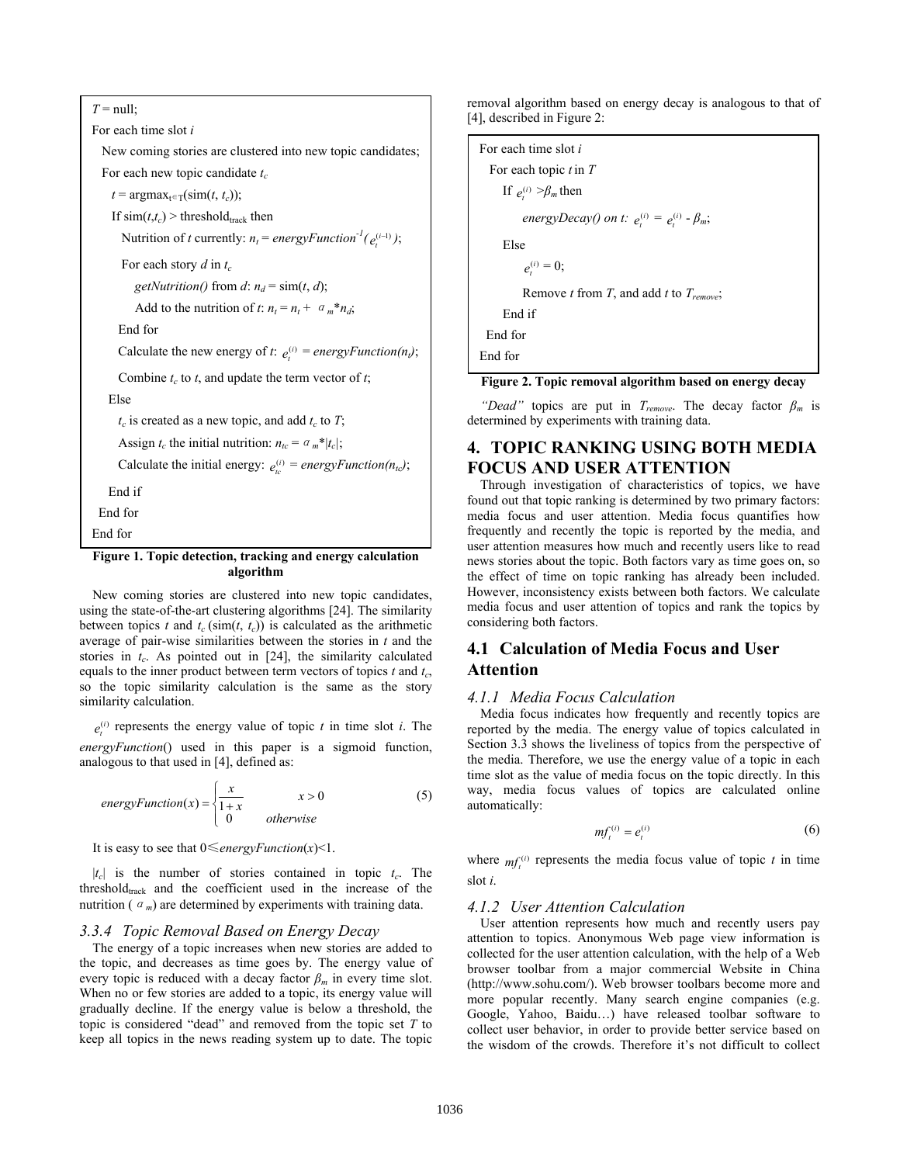$T = \text{null}$ 

For each time slot *i*

New coming stories are clustered into new topic candidates;

For each new topic candidate  $t_c$ 

```
t = \text{argmax}_{t \in \text{T}}(\text{sim}(t, t_c));
```
If  $\text{sim}(t,t_c)$  > threshold<sub>track</sub> then

Nutrition of *t* currently:  $n_t = energyFunction^{-1}(e_i^{(i-1)})$ ;

For each story  $d$  in  $t_c$ 

*getNutrition()* from *d*:  $n_d = \text{sim}(t, d)$ ;

Add to the nutrition of *t*:  $n_t = n_t + a_m * n_d$ ;

End for

Calculate the new energy of *t*:  $e_t^{(i)} = energyFunction(n_t);$ 

Combine  $t_c$  to  $t$ , and update the term vector of  $t$ ;

Else

 $t_c$  is created as a new topic, and add  $t_c$  to  $T$ ;

Assign  $t_c$  the initial nutrition:  $n_{tc} = a_m * |t_c|$ ;

Calculate the initial energy:  $e_i^{(i)} = energyFunction(n_{tc});$ 

End if

End for

End for

#### **Figure 1. Topic detection, tracking and energy calculation algorithm**

New coming stories are clustered into new topic candidates, using the state-of-the-art clustering algorithms [24]. The similarity between topics *t* and  $t_c$  (sim( $t$ ,  $t_c$ )) is calculated as the arithmetic average of pair-wise similarities between the stories in *t* and the stories in  $t_c$ . As pointed out in [24], the similarity calculated equals to the inner product between term vectors of topics  $t$  and  $t_c$ , so the topic similarity calculation is the same as the story similarity calculation.

 $e_i^{(i)}$  represents the energy value of topic *t* in time slot *i*. The

*energyFunction*() used in this paper is a sigmoid function, analogous to that used in [4], defined as:

energyFunction(x) = 
$$
\begin{cases} \frac{x}{1+x} & x > 0 \\ 0 & otherwise \end{cases}
$$
 (5)

It is easy to see that  $0 \leq$ *energyFunction*(*x*)<1.

 $|t_c|$  is the number of stories contained in topic  $t_c$ . The threshold $_{\text{track}}$  and the coefficient used in the increase of the nutrition (<sup>α</sup>*m*) are determined by experiments with training data.

#### *3.3.4 Topic Removal Based on Energy Decay*

The energy of a topic increases when new stories are added to the topic, and decreases as time goes by. The energy value of every topic is reduced with a decay factor  $\beta_m$  in every time slot. When no or few stories are added to a topic, its energy value will gradually decline. If the energy value is below a threshold, the topic is considered "dead" and removed from the topic set *T* to keep all topics in the news reading system up to date. The topic removal algorithm based on energy decay is analogous to that of [4], described in Figure 2:

| For each time slot i                                    |
|---------------------------------------------------------|
| For each topic $t$ in $T$                               |
| If $e_t^{(i)} > \beta_m$ then                           |
| energyDecay() on t: $e_i^{(i)} = e_i^{(i)} - \beta_m$ ; |
| Else                                                    |
| $e_t^{(i)} = 0;$                                        |
| Remove t from T, and add t to $T_{remove}$ ;            |
| End if                                                  |
| End for                                                 |
| End for                                                 |
|                                                         |

**Figure 2. Topic removal algorithm based on energy decay** 

*"Dead"* topics are put in *Tremove*. The decay factor *βm* is determined by experiments with training data.

# **4. TOPIC RANKING USING BOTH MEDIA FOCUS AND USER ATTENTION**

Through investigation of characteristics of topics, we have found out that topic ranking is determined by two primary factors: media focus and user attention. Media focus quantifies how frequently and recently the topic is reported by the media, and user attention measures how much and recently users like to read news stories about the topic. Both factors vary as time goes on, so the effect of time on topic ranking has already been included. However, inconsistency exists between both factors. We calculate media focus and user attention of topics and rank the topics by considering both factors.

# **4.1 Calculation of Media Focus and User Attention**

#### *4.1.1 Media Focus Calculation*

Media focus indicates how frequently and recently topics are reported by the media. The energy value of topics calculated in Section 3.3 shows the liveliness of topics from the perspective of the media. Therefore, we use the energy value of a topic in each time slot as the value of media focus on the topic directly. In this way, media focus values of topics are calculated online automatically:

$$
mf_t^{(i)} = e_t^{(i)} \tag{6}
$$

where  $m f^{(i)}$  represents the media focus value of topic *t* in time slot *i*.

#### *4.1.2 User Attention Calculation*

User attention represents how much and recently users pay attention to topics. Anonymous Web page view information is collected for the user attention calculation, with the help of a Web browser toolbar from a major commercial Website in China (http://www.sohu.com/). Web browser toolbars become more and more popular recently. Many search engine companies (e.g. Google, Yahoo, Baidu…) have released toolbar software to collect user behavior, in order to provide better service based on the wisdom of the crowds. Therefore it's not difficult to collect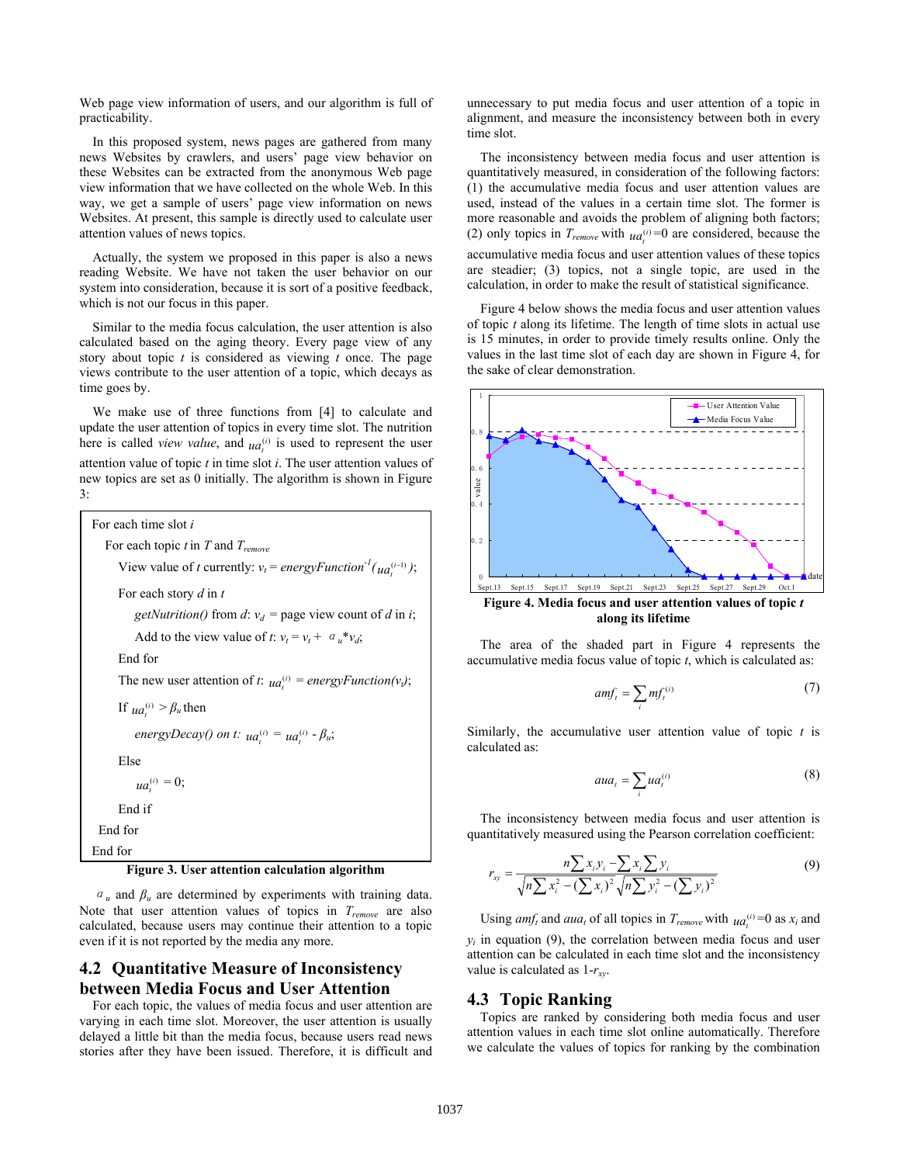Web page view information of users, and our algorithm is full of practicability.

In this proposed system, news pages are gathered from many news Websites by crawlers, and users' page view behavior on these Websites can be extracted from the anonymous Web page view information that we have collected on the whole Web. In this way, we get a sample of users' page view information on news Websites. At present, this sample is directly used to calculate user attention values of news topics.

Actually, the system we proposed in this paper is also a news reading Website. We have not taken the user behavior on our system into consideration, because it is sort of a positive feedback, which is not our focus in this paper.

Similar to the media focus calculation, the user attention is also calculated based on the aging theory. Every page view of any story about topic *t* is considered as viewing *t* once. The page views contribute to the user attention of a topic, which decays as time goes by.

We make use of three functions from [4] to calculate and update the user attention of topics in every time slot. The nutrition here is called *view value*, and  $\mu a_i^{(i)}$  is used to represent the user attention value of topic *t* in time slot *i*. The user attention values of new topics are set as 0 initially. The algorithm is shown in Figure 3:

For each time slot *i*  For each topic *t* in *T* and *Tremove* View value of *t* currently:  $v_t = energyFunction^{-1}(ua^{(i-1)})$ ; For each story *d* in *t getNutrition()* from *d*:  $v_d$  = page view count of *d* in *i*; Add to the view value of *t*:  $v_t = v_t + a_u * v_d$ ; End for The new user attention of *t*:  $ua_t^{(i)} = energyFunction(v_t);$ If  $\iota a_i^{(i)} > \beta_u$  then *energyDecay() on t:*  $ua_t^{(i)} = ua_t^{(i)} - \beta_u$ ; Else  $ua_i^{(i)} = 0;$  End if End for End for



 $\alpha$ <sub>*u*</sub> and  $\beta$ <sub>*u*</sub> are determined by experiments with training data. Note that user attention values of topics in *Tremove* are also calculated, because users may continue their attention to a topic even if it is not reported by the media any more.

# **4.2 Quantitative Measure of Inconsistency between Media Focus and User Attention**

For each topic, the values of media focus and user attention are varying in each time slot. Moreover, the user attention is usually delayed a little bit than the media focus, because users read news stories after they have been issued. Therefore, it is difficult and unnecessary to put media focus and user attention of a topic in alignment, and measure the inconsistency between both in every time slot.

The inconsistency between media focus and user attention is quantitatively measured, in consideration of the following factors: (1) the accumulative media focus and user attention values are used, instead of the values in a certain time slot. The former is more reasonable and avoids the problem of aligning both factors; (2) only topics in  $T_{remove}$  with  $ua_t^{(i)} = 0$  are considered, because the accumulative media focus and user attention values of these topics are steadier; (3) topics, not a single topic, are used in the calculation, in order to make the result of statistical significance.

Figure 4 below shows the media focus and user attention values of topic *t* along its lifetime. The length of time slots in actual use is 15 minutes, in order to provide timely results online. Only the values in the last time slot of each day are shown in Figure 4, for the sake of clear demonstration.



The area of the shaded part in Figure 4 represents the accumulative media focus value of topic *t*, which is calculated as:

$$
amf_t = \sum_i mf_t^{(i)} \tag{7}
$$

Similarly, the accumulative user attention value of topic *t* is calculated as:

$$
aua_t = \sum_i ua_t^{(i)} \tag{8}
$$

The inconsistency between media focus and user attention is quantitatively measured using the Pearson correlation coefficient:

$$
r_{xy} = \frac{n\sum x_i y_i - \sum x_i \sum y_i}{\sqrt{n\sum x_i^2 - (\sum x_i)^2} \sqrt{n\sum y_i^2 - (\sum y_i)^2}}
$$
(9)

Using *amf<sub>t</sub>* and *aua<sub>t</sub>* of all topics in  $T_{remove}$  with  $ua_t^{(i)} = 0$  as  $x_i$  and  $y_i$  in equation (9), the correlation between media focus and user attention can be calculated in each time slot and the inconsistency value is calculated as 1-*rxy*.

#### **4.3 Topic Ranking**

Topics are ranked by considering both media focus and user attention values in each time slot online automatically. Therefore we calculate the values of topics for ranking by the combination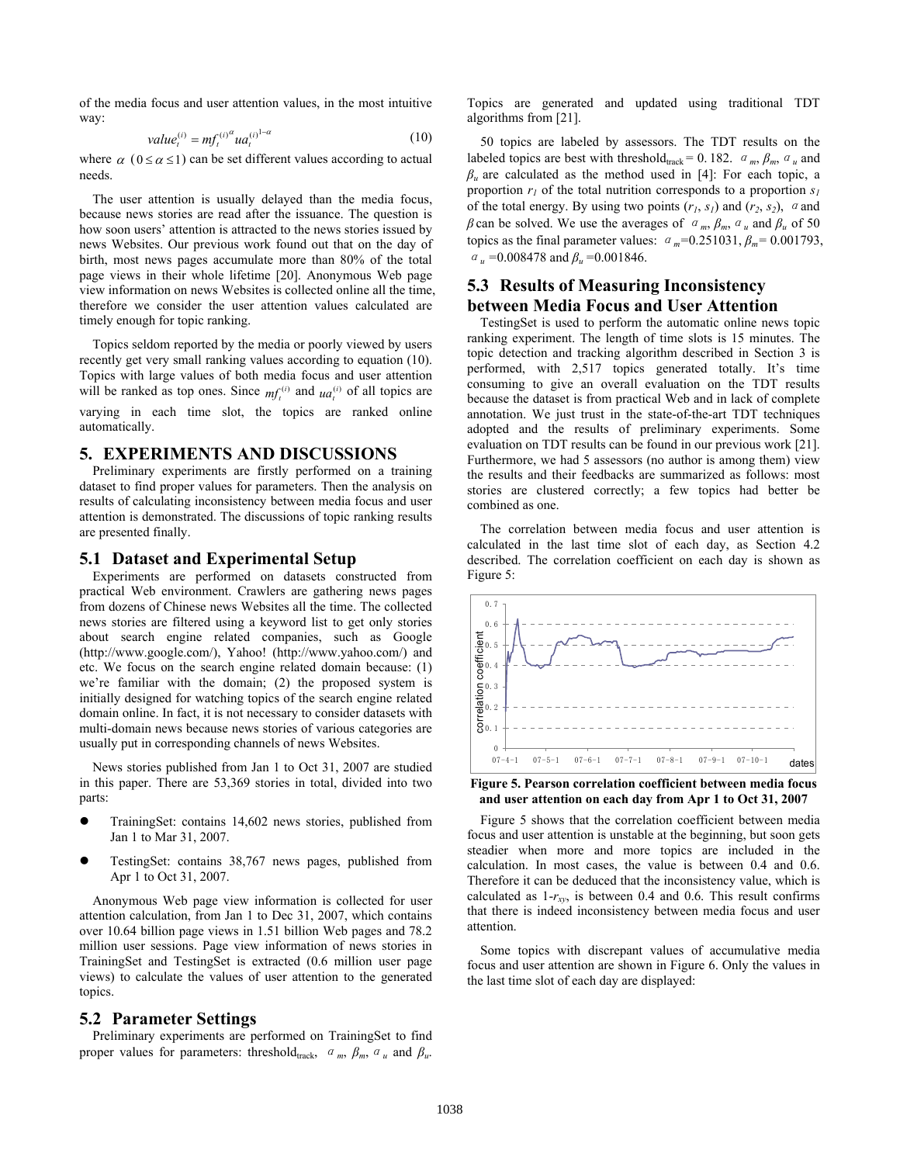of the media focus and user attention values, in the most intuitive way:

$$
value_t^{(i)} = m f_t^{(i)}^{\alpha} u a_t^{(i)^{1-\alpha}}
$$
 (10)

where  $\alpha$  ( $0 \le \alpha \le 1$ ) can be set different values according to actual needs.

The user attention is usually delayed than the media focus, because news stories are read after the issuance. The question is how soon users' attention is attracted to the news stories issued by news Websites. Our previous work found out that on the day of birth, most news pages accumulate more than 80% of the total page views in their whole lifetime [20]. Anonymous Web page view information on news Websites is collected online all the time, therefore we consider the user attention values calculated are timely enough for topic ranking.

Topics seldom reported by the media or poorly viewed by users recently get very small ranking values according to equation (10). Topics with large values of both media focus and user attention will be ranked as top ones. Since  $mf_t^{(i)}$  and  $ua_t^{(i)}$  of all topics are varying in each time slot, the topics are ranked online automatically.

### **5. EXPERIMENTS AND DISCUSSIONS**

Preliminary experiments are firstly performed on a training dataset to find proper values for parameters. Then the analysis on results of calculating inconsistency between media focus and user attention is demonstrated. The discussions of topic ranking results are presented finally.

#### **5.1 Dataset and Experimental Setup**

Experiments are performed on datasets constructed from practical Web environment. Crawlers are gathering news pages from dozens of Chinese news Websites all the time. The collected news stories are filtered using a keyword list to get only stories about search engine related companies, such as Google (http://www.google.com/), Yahoo! (http://www.yahoo.com/) and etc. We focus on the search engine related domain because: (1) we're familiar with the domain; (2) the proposed system is initially designed for watching topics of the search engine related domain online. In fact, it is not necessary to consider datasets with multi-domain news because news stories of various categories are usually put in corresponding channels of news Websites.

News stories published from Jan 1 to Oct 31, 2007 are studied in this paper. There are 53,369 stories in total, divided into two parts:

- z TrainingSet: contains 14,602 news stories, published from Jan 1 to Mar 31, 2007.
- z TestingSet: contains 38,767 news pages, published from Apr 1 to Oct 31, 2007.

Anonymous Web page view information is collected for user attention calculation, from Jan 1 to Dec 31, 2007, which contains over 10.64 billion page views in 1.51 billion Web pages and 78.2 million user sessions. Page view information of news stories in TrainingSet and TestingSet is extracted (0.6 million user page views) to calculate the values of user attention to the generated topics.

#### **5.2 Parameter Settings**

Preliminary experiments are performed on TrainingSet to find proper values for parameters: threshold<sub>track</sub>,  $\alpha_m$ ,  $\beta_m$ ,  $\alpha_u$  and  $\beta_u$ . Topics are generated and updated using traditional TDT algorithms from [21].

50 topics are labeled by assessors. The TDT results on the labeled topics are best with threshold<sub>track</sub> = 0.182.  $\alpha_m$ ,  $\beta_m$ ,  $\alpha_u$  and  $\beta$ <sup>*u*</sup> are calculated as the method used in [4]: For each topic, a proportion  $r_1$  of the total nutrition corresponds to a proportion  $s_1$ of the total energy. By using two points  $(r_1, s_1)$  and  $(r_2, s_2)$ , a and *β* can be solved. We use the averages of  $\alpha_m$ ,  $\beta_m$ ,  $\alpha_u$  and  $\beta_u$  of 50 topics as the final parameter values:  $\alpha_m=0.251031$ ,  $\beta_m=0.001793$ , <sup>α</sup>*<sup>u</sup> =*0.008478 and *βu =*0.001846.

# **5.3 Results of Measuring Inconsistency between Media Focus and User Attention**

TestingSet is used to perform the automatic online news topic ranking experiment. The length of time slots is 15 minutes. The topic detection and tracking algorithm described in Section 3 is performed, with 2,517 topics generated totally. It's time consuming to give an overall evaluation on the TDT results because the dataset is from practical Web and in lack of complete annotation. We just trust in the state-of-the-art TDT techniques adopted and the results of preliminary experiments. Some evaluation on TDT results can be found in our previous work [21]. Furthermore, we had 5 assessors (no author is among them) view the results and their feedbacks are summarized as follows: most stories are clustered correctly; a few topics had better be combined as one.

The correlation between media focus and user attention is calculated in the last time slot of each day, as Section 4.2 described. The correlation coefficient on each day is shown as Figure 5:



**Figure 5. Pearson correlation coefficient between media focus and user attention on each day from Apr 1 to Oct 31, 2007** 

Figure 5 shows that the correlation coefficient between media focus and user attention is unstable at the beginning, but soon gets steadier when more and more topics are included in the calculation. In most cases, the value is between 0.4 and 0.6. Therefore it can be deduced that the inconsistency value, which is calculated as  $1-r_{xy}$ , is between 0.4 and 0.6. This result confirms that there is indeed inconsistency between media focus and user attention.

Some topics with discrepant values of accumulative media focus and user attention are shown in Figure 6. Only the values in the last time slot of each day are displayed: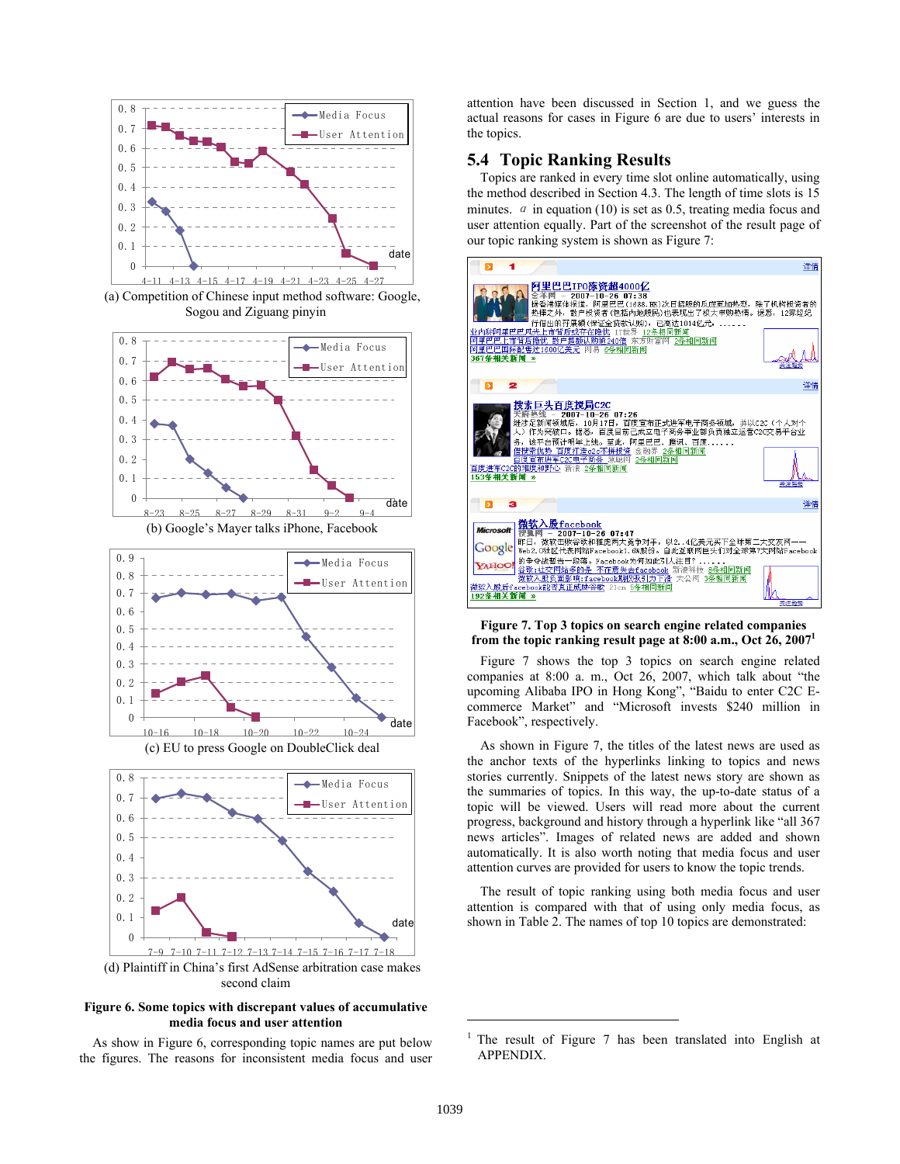

(a) Competition of Chinese input method software: Google, Sogou and Ziguang pinyin





(c) EU to press Google on DoubleClick deal



**Figure 6. Some topics with discrepant values of accumulative media focus and user attention** 

As show in Figure 6, corresponding topic names are put below the figures. The reasons for inconsistent media focus and user attention have been discussed in Section 1, and we guess the actual reasons for cases in Figure 6 are due to users' interests in the topics.

#### **5.4 Topic Ranking Results**

Topics are ranked in every time slot online automatically, using the method described in Section 4.3. The length of time slots is 15 minutes.  $\alpha$  in equation (10) is set as 0.5, treating media focus and user attention equally. Part of the screenshot of the result page of our topic ranking system is shown as Figure 7:



**Figure 7. Top 3 topics on search engine related companies from the topic ranking result page at 8:00 a.m., Oct 26, 20071**

Figure 7 shows the top 3 topics on search engine related companies at 8:00 a. m., Oct 26, 2007, which talk about "the upcoming Alibaba IPO in Hong Kong", "Baidu to enter C2C Ecommerce Market" and "Microsoft invests \$240 million in Facebook", respectively.

As shown in Figure 7, the titles of the latest news are used as the anchor texts of the hyperlinks linking to topics and news stories currently. Snippets of the latest news story are shown as the summaries of topics. In this way, the up-to-date status of a topic will be viewed. Users will read more about the current progress, background and history through a hyperlink like "all 367 news articles". Images of related news are added and shown automatically. It is also worth noting that media focus and user attention curves are provided for users to know the topic trends.

The result of topic ranking using both media focus and user attention is compared with that of using only media focus, as shown in Table 2. The names of top 10 topics are demonstrated:

1

The result of Figure 7 has been translated into English at APPENDIX.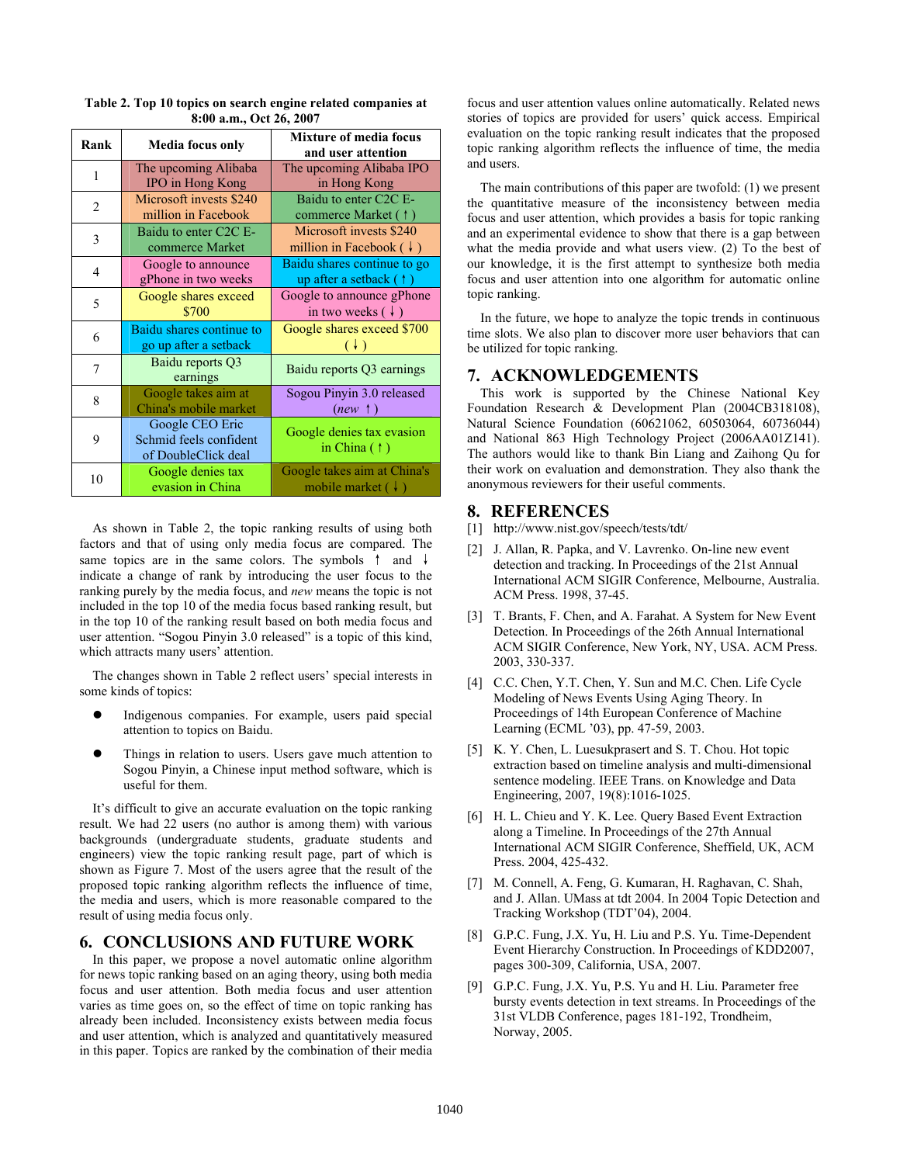| Rank           | <b>Media focus only</b>                                          | Mixture of media focus<br>and user attention                |
|----------------|------------------------------------------------------------------|-------------------------------------------------------------|
| 1              | The upcoming Alibaba<br>IPO in Hong Kong                         | The upcoming Alibaba IPO<br>in Hong Kong                    |
| $\overline{2}$ | Microsoft invests \$240<br>million in Facebook                   | Baidu to enter C2C E-<br>commerce Market († )               |
| 3              | Baidu to enter C2C E-<br>commerce Market                         | Microsoft invests \$240<br>million in Facebook $( )$        |
| $\overline{4}$ | Google to announce<br>gPhone in two weeks                        | Baidu shares continue to go<br>up after a setback $(†)$     |
| 5              | Google shares exceed<br>\$700                                    | Google to announce gPhone<br>in two weeks $( )$             |
| 6              | Baidu shares continue to<br>go up after a setback                | Google shares exceed \$700<br>$(\downarrow)$                |
| 7              | Baidu reports Q3<br>earnings                                     | Baidu reports Q3 earnings                                   |
| 8              | Google takes aim at<br>China's mobile market                     | Sogou Pinyin 3.0 released<br>$(new \t)$                     |
| 9              | Google CEO Eric<br>Schmid feels confident<br>of DoubleClick deal | Google denies tax evasion<br>in China $(†)$                 |
| 10             | Google denies tax<br>evasion in China                            | Google takes aim at China's<br>mobile market $(\downarrow)$ |

**Table 2. Top 10 topics on search engine related companies at 8:00 a.m., Oct 26, 2007** 

As shown in Table 2, the topic ranking results of using both factors and that of using only media focus are compared. The same topics are in the same colors. The symbols ↑ and ↓ indicate a change of rank by introducing the user focus to the ranking purely by the media focus, and *new* means the topic is not included in the top 10 of the media focus based ranking result, but in the top 10 of the ranking result based on both media focus and user attention. "Sogou Pinyin 3.0 released" is a topic of this kind, which attracts many users' attention.

The changes shown in Table 2 reflect users' special interests in some kinds of topics:

- Indigenous companies. For example, users paid special attention to topics on Baidu.
- Things in relation to users. Users gave much attention to Sogou Pinyin, a Chinese input method software, which is useful for them.

It's difficult to give an accurate evaluation on the topic ranking result. We had 22 users (no author is among them) with various backgrounds (undergraduate students, graduate students and engineers) view the topic ranking result page, part of which is shown as Figure 7. Most of the users agree that the result of the proposed topic ranking algorithm reflects the influence of time, the media and users, which is more reasonable compared to the result of using media focus only.

# **6. CONCLUSIONS AND FUTURE WORK**

In this paper, we propose a novel automatic online algorithm for news topic ranking based on an aging theory, using both media focus and user attention. Both media focus and user attention varies as time goes on, so the effect of time on topic ranking has already been included. Inconsistency exists between media focus and user attention, which is analyzed and quantitatively measured in this paper. Topics are ranked by the combination of their media

focus and user attention values online automatically. Related news stories of topics are provided for users' quick access. Empirical evaluation on the topic ranking result indicates that the proposed topic ranking algorithm reflects the influence of time, the media and users.

The main contributions of this paper are twofold: (1) we present the quantitative measure of the inconsistency between media focus and user attention, which provides a basis for topic ranking and an experimental evidence to show that there is a gap between what the media provide and what users view. (2) To the best of our knowledge, it is the first attempt to synthesize both media focus and user attention into one algorithm for automatic online topic ranking.

In the future, we hope to analyze the topic trends in continuous time slots. We also plan to discover more user behaviors that can be utilized for topic ranking.

#### **7. ACKNOWLEDGEMENTS**

This work is supported by the Chinese National Key Foundation Research & Development Plan (2004CB318108), Natural Science Foundation (60621062, 60503064, 60736044) and National 863 High Technology Project (2006AA01Z141). The authors would like to thank Bin Liang and Zaihong Qu for their work on evaluation and demonstration. They also thank the anonymous reviewers for their useful comments.

#### **8. REFERENCES**

- [1] http://www.nist.gov/speech/tests/tdt/
- [2] J. Allan, R. Papka, and V. Lavrenko. On-line new event detection and tracking. In Proceedings of the 21st Annual International ACM SIGIR Conference, Melbourne, Australia. ACM Press. 1998, 37-45.
- [3] T. Brants, F. Chen, and A. Farahat. A System for New Event Detection. In Proceedings of the 26th Annual International ACM SIGIR Conference, New York, NY, USA. ACM Press. 2003, 330-337.
- [4] C.C. Chen, Y.T. Chen, Y. Sun and M.C. Chen. Life Cycle Modeling of News Events Using Aging Theory. In Proceedings of 14th European Conference of Machine Learning (ECML '03), pp. 47-59, 2003.
- [5] K. Y. Chen, L. Luesukprasert and S. T. Chou. Hot topic extraction based on timeline analysis and multi-dimensional sentence modeling. IEEE Trans. on Knowledge and Data Engineering, 2007, 19(8):1016-1025.
- [6] H. L. Chieu and Y. K. Lee. Query Based Event Extraction along a Timeline. In Proceedings of the 27th Annual International ACM SIGIR Conference, Sheffield, UK, ACM Press. 2004, 425-432.
- [7] M. Connell, A. Feng, G. Kumaran, H. Raghavan, C. Shah, and J. Allan. UMass at tdt 2004. In 2004 Topic Detection and Tracking Workshop (TDT'04), 2004.
- [8] G.P.C. Fung, J.X. Yu, H. Liu and P.S. Yu. Time-Dependent Event Hierarchy Construction. In Proceedings of KDD2007, pages 300-309, California, USA, 2007.
- [9] G.P.C. Fung, J.X. Yu, P.S. Yu and H. Liu. Parameter free bursty events detection in text streams. In Proceedings of the 31st VLDB Conference, pages 181-192, Trondheim, Norway, 2005.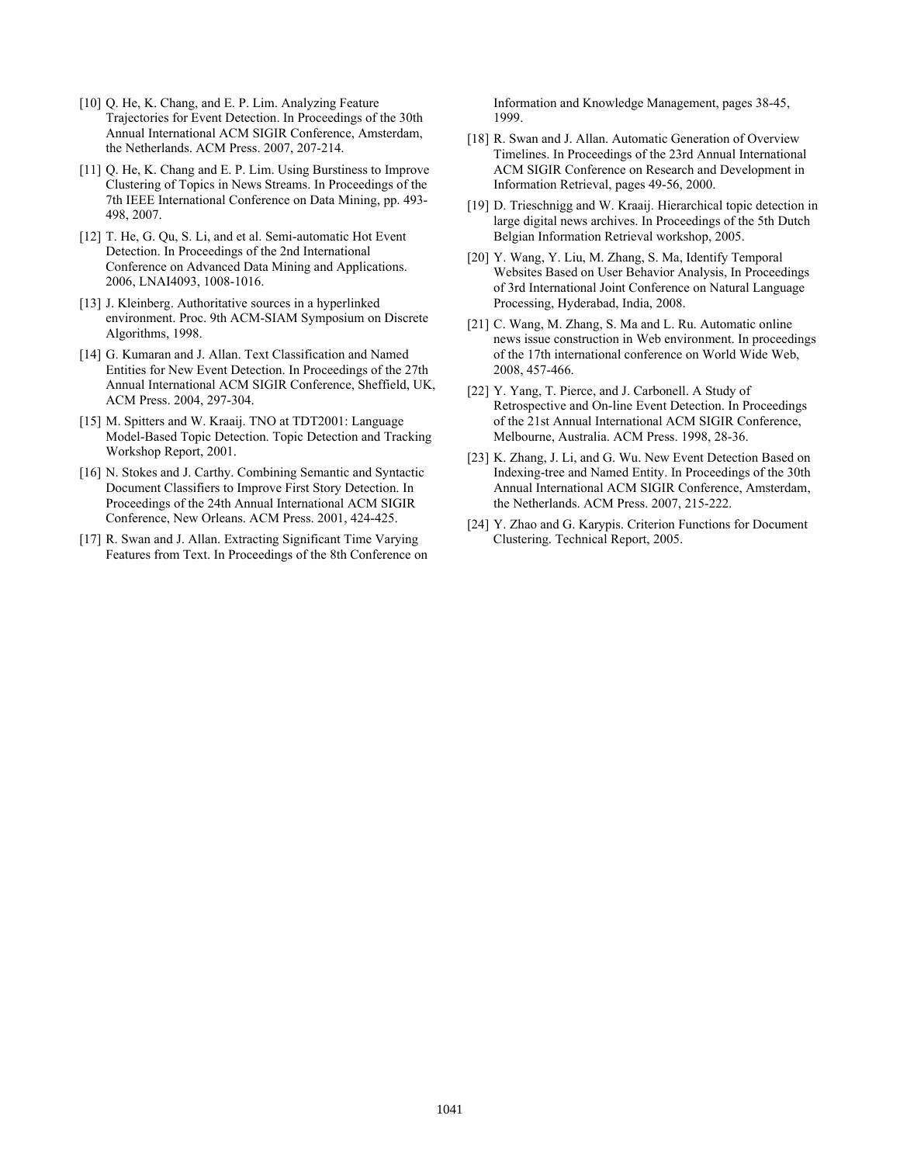- [10] Q. He, K. Chang, and E. P. Lim. Analyzing Feature Trajectories for Event Detection. In Proceedings of the 30th Annual International ACM SIGIR Conference, Amsterdam, the Netherlands. ACM Press. 2007, 207-214.
- [11] Q. He, K. Chang and E. P. Lim. Using Burstiness to Improve Clustering of Topics in News Streams. In Proceedings of the 7th IEEE International Conference on Data Mining, pp. 493- 498, 2007.
- [12] T. He, G. Qu, S. Li, and et al. Semi-automatic Hot Event Detection. In Proceedings of the 2nd International Conference on Advanced Data Mining and Applications. 2006, LNAI4093, 1008-1016.
- [13] J. Kleinberg. Authoritative sources in a hyperlinked environment. Proc. 9th ACM-SIAM Symposium on Discrete Algorithms, 1998.
- [14] G. Kumaran and J. Allan. Text Classification and Named Entities for New Event Detection. In Proceedings of the 27th Annual International ACM SIGIR Conference, Sheffield, UK, ACM Press. 2004, 297-304.
- [15] M. Spitters and W. Kraaij. TNO at TDT2001: Language Model-Based Topic Detection. Topic Detection and Tracking Workshop Report, 2001.
- [16] N. Stokes and J. Carthy. Combining Semantic and Syntactic Document Classifiers to Improve First Story Detection. In Proceedings of the 24th Annual International ACM SIGIR Conference, New Orleans. ACM Press. 2001, 424-425.
- [17] R. Swan and J. Allan. Extracting Significant Time Varying Features from Text. In Proceedings of the 8th Conference on

Information and Knowledge Management, pages 38-45, 1999.

- [18] R. Swan and J. Allan. Automatic Generation of Overview Timelines. In Proceedings of the 23rd Annual International ACM SIGIR Conference on Research and Development in Information Retrieval, pages 49-56, 2000.
- [19] D. Trieschnigg and W. Kraaij. Hierarchical topic detection in large digital news archives. In Proceedings of the 5th Dutch Belgian Information Retrieval workshop, 2005.
- [20] Y. Wang, Y. Liu, M. Zhang, S. Ma, Identify Temporal Websites Based on User Behavior Analysis, In Proceedings of 3rd International Joint Conference on Natural Language Processing, Hyderabad, India, 2008.
- [21] C. Wang, M. Zhang, S. Ma and L. Ru. Automatic online news issue construction in Web environment. In proceedings of the 17th international conference on World Wide Web, 2008, 457-466.
- [22] Y. Yang, T. Pierce, and J. Carbonell. A Study of Retrospective and On-line Event Detection. In Proceedings of the 21st Annual International ACM SIGIR Conference, Melbourne, Australia. ACM Press. 1998, 28-36.
- [23] K. Zhang, J. Li, and G. Wu. New Event Detection Based on Indexing-tree and Named Entity. In Proceedings of the 30th Annual International ACM SIGIR Conference, Amsterdam, the Netherlands. ACM Press. 2007, 215-222.
- [24] Y. Zhao and G. Karypis. Criterion Functions for Document Clustering. Technical Report, 2005.